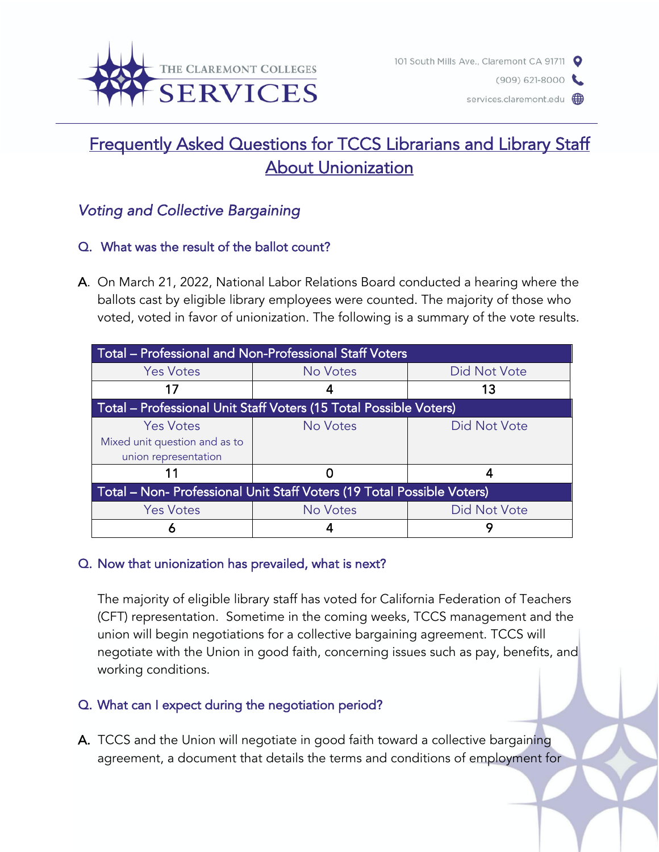

 $(909) 621 - 8000$ 

services.claremont.edu (

# Frequently Asked Questions for TCCS Librarians and Library Staff **About Unionization**

# *Voting and Collective Bargaining*

# Q. What was the result of the ballot count?

A. On March 21, 2022, National Labor Relations Board conducted a hearing where the ballots cast by eligible library employees were counted. The majority of those who voted, voted in favor of unionization. The following is a summary of the vote results.

| Total – Professional and Non-Professional Staff Voters                 |          |                     |
|------------------------------------------------------------------------|----------|---------------------|
| <b>Yes Votes</b>                                                       | No Votes | <b>Did Not Vote</b> |
| 17                                                                     |          | 13                  |
| Total - Professional Unit Staff Voters (15 Total Possible Voters)      |          |                     |
| <b>Yes Votes</b>                                                       | No Votes | Did Not Vote        |
| Mixed unit question and as to                                          |          |                     |
| union representation                                                   |          |                     |
|                                                                        |          |                     |
| Total - Non- Professional Unit Staff Voters (19 Total Possible Voters) |          |                     |
| <b>Yes Votes</b>                                                       | No Votes | Did Not Vote        |
| n                                                                      |          |                     |

#### Q. Now that unionization has prevailed, what is next?

The majority of eligible library staff has voted for California Federation of Teachers (CFT) representation. Sometime in the coming weeks, TCCS management and the union will begin negotiations for a collective bargaining agreement. TCCS will negotiate with the Union in good faith, concerning issues such as pay, benefits, and working conditions.

# Q. What can I expect during the negotiation period?

A. TCCS and the Union will negotiate in good faith toward a collective bargaining agreement, a document that details the terms and conditions of employment for